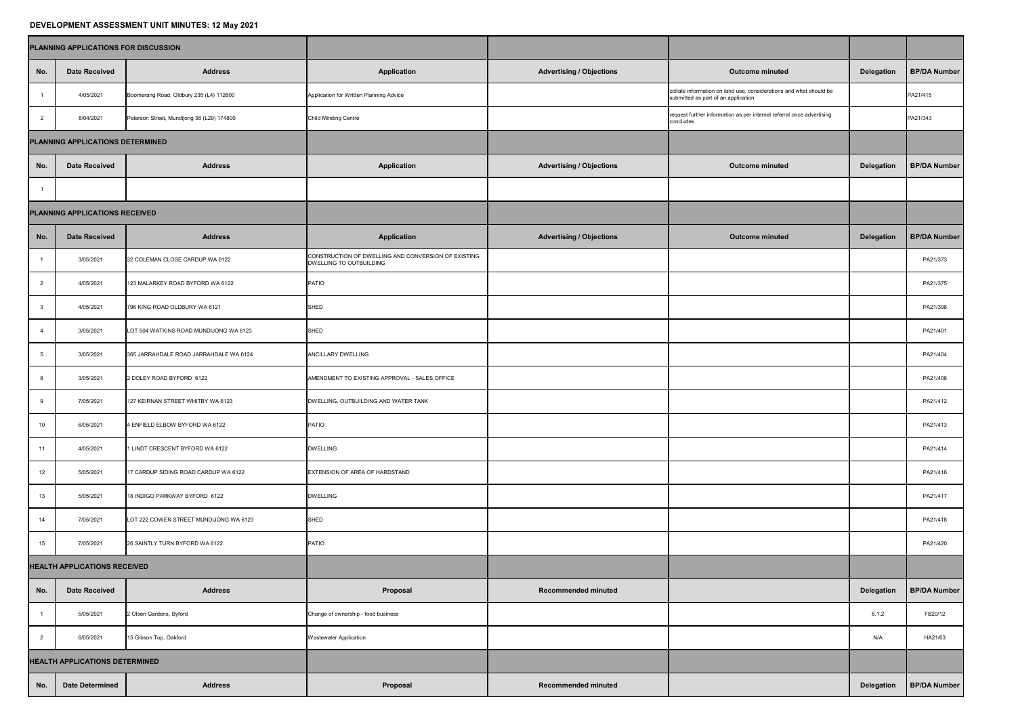## **DEVELOPMENT ASSESSMENT UNIT MINUTES: 12 May 2021**

|                                       | PLANNING APPLICATIONS FOR DISCUSSION |                                            |                                                                                |                                 |                                                                                                           |                   |                       |
|---------------------------------------|--------------------------------------|--------------------------------------------|--------------------------------------------------------------------------------|---------------------------------|-----------------------------------------------------------------------------------------------------------|-------------------|-----------------------|
| No.                                   | <b>Date Received</b>                 | <b>Address</b>                             | <b>Application</b>                                                             | <b>Advertising / Objections</b> | <b>Outcome minuted</b>                                                                                    | <b>Delegation</b> | <b>BP/DA Number</b>   |
|                                       | 4/05/2021                            | Boomerang Road, Oldbury 235 (L4) 112600    | Application for Written Planning Advice                                        |                                 | collate information on land use, considerations and what should be<br>submitted as part of an application |                   | PA21/415              |
| $\overline{2}$                        | 8/04/2021                            | Paterson Street, Mundijong 38 (L29) 174800 | <b>Child Minding Centre</b>                                                    |                                 | request further information as per internal referral once advertising<br>concludes                        |                   | PA21/343              |
| PLANNING APPLICATIONS DETERMINED      |                                      |                                            |                                                                                |                                 |                                                                                                           |                   |                       |
| No.                                   | <b>Date Received</b>                 | <b>Address</b>                             | <b>Application</b>                                                             | <b>Advertising / Objections</b> | <b>Outcome minuted</b>                                                                                    | <b>Delegation</b> | <b>BP/DA Number  </b> |
|                                       |                                      |                                            |                                                                                |                                 |                                                                                                           |                   |                       |
| PLANNING APPLICATIONS RECEIVED        |                                      |                                            |                                                                                |                                 |                                                                                                           |                   |                       |
| No.                                   | <b>Date Received</b>                 | <b>Address</b>                             | <b>Application</b>                                                             | <b>Advertising / Objections</b> | <b>Outcome minuted</b>                                                                                    | <b>Delegation</b> | <b>BP/DA Number</b>   |
|                                       | 3/05/2021                            | 32 COLEMAN CLOSE CARDUP WA 6122            | CONSTRUCTION OF DWELLING AND CONVERSION OF EXISTING<br>DWELLING TO OUTBUILDING |                                 |                                                                                                           |                   | PA21/373              |
|                                       | 4/05/2021                            | 123 MALARKEY ROAD BYFORD WA 6122           | <b>PATIO</b>                                                                   |                                 |                                                                                                           |                   | PA21/375              |
|                                       | 4/05/2021                            | 796 KING ROAD OLDBURY WA 6121              | <b>SHED</b>                                                                    |                                 |                                                                                                           |                   | PA21/398              |
|                                       | 3/05/2021                            | LOT 504 WATKINS ROAD MUNDIJONG WA 6123     | <b>SHED</b>                                                                    |                                 |                                                                                                           |                   | PA21/401              |
|                                       | 3/05/2021                            | 365 JARRAHDALE ROAD JARRAHDALE WA 6124     | <b>ANCILLARY DWELLING</b>                                                      |                                 |                                                                                                           |                   | PA21/404              |
|                                       | 3/05/2021                            | 2 DOLEY ROAD BYFORD 6122                   | AMENDMENT TO EXISTING APPROVAL - SALES OFFICE                                  |                                 |                                                                                                           |                   | PA21/408              |
|                                       | 7/05/2021                            | 127 KEIRNAN STREET WHITBY WA 6123          | DWELLING, OUTBUILDING AND WATER TANK                                           |                                 |                                                                                                           |                   | PA21/412              |
| 10                                    | 6/05/2021                            | 4 ENFIELD ELBOW BYFORD WA 6122             | <b>PATIO</b>                                                                   |                                 |                                                                                                           |                   | PA21/413              |
| 11                                    | 4/05/2021                            | 1 LINDT CRESCENT BYFORD WA 6122            | <b>DWELLING</b>                                                                |                                 |                                                                                                           |                   | PA21/414              |
| 12                                    | 5/05/2021                            | 17 CARDUP SIDING ROAD CARDUP WA 6122       | EXTENSION OF AREA OF HARDSTAND                                                 |                                 |                                                                                                           |                   | PA21/416              |
| 13                                    | 5/05/2021                            | 18 INDIGO PARKWAY BYFORD 6122              | <b>DWELLING</b>                                                                |                                 |                                                                                                           |                   | PA21/417              |
| 14                                    | 7/05/2021                            | LOT 222 COWEN STREET MUNDIJONG WA 6123     | <b>SHED</b>                                                                    |                                 |                                                                                                           |                   | PA21/418              |
| 15                                    | 7/05/2021                            | 26 SAINTLY TURN BYFORD WA 6122             | <b>PATIO</b>                                                                   |                                 |                                                                                                           |                   | PA21/420              |
| <b>HEALTH APPLICATIONS RECEIVED</b>   |                                      |                                            |                                                                                |                                 |                                                                                                           |                   |                       |
| No.                                   | <b>Date Received</b>                 | <b>Address</b>                             | Proposal                                                                       | <b>Recommended minuted</b>      |                                                                                                           | <b>Delegation</b> | <b>BP/DA Number</b>   |
|                                       | 5/05/2021                            | 2 Olsen Gardens, Byford                    | Change of ownership - food business                                            |                                 |                                                                                                           | 6.1.2             | FB20/12               |
|                                       | 6/05/2021                            | 15 Gibson Top, Oakford                     | <b>Wastewater Application</b>                                                  |                                 |                                                                                                           | N/A               | HA21/63               |
| <b>HEALTH APPLICATIONS DETERMINED</b> |                                      |                                            |                                                                                |                                 |                                                                                                           |                   |                       |
| No.                                   | <b>Date Determined</b>               | <b>Address</b>                             | Proposal                                                                       | <b>Recommended minuted</b>      |                                                                                                           | <b>Delegation</b> | <b>BP/DA Number  </b> |